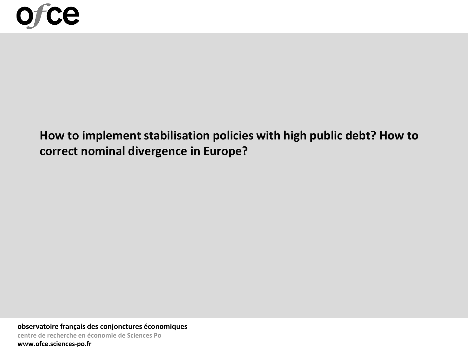

# **How to implement stabilisation policies with high public debt? How to correct nominal divergence in Europe?**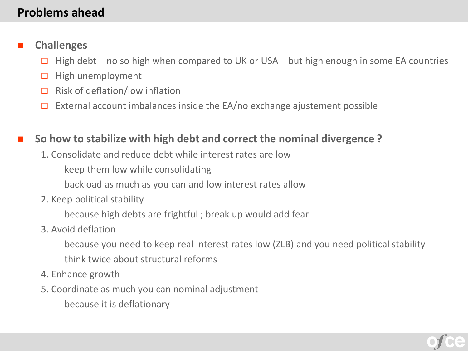### **Problems ahead**

### **Challenges**

- $\Box$  High debt no so high when compared to UK or USA but high enough in some EA countries
- $\Box$  High unemployment
- $\Box$  Risk of deflation/low inflation
- $\Box$  External account imbalances inside the EA/no exchange ajustement possible

### **So how to stabilize with high debt and correct the nominal divergence ?**

1. Consolidate and reduce debt while interest rates are low

keep them low while consolidating

backload as much as you can and low interest rates allow

2. Keep political stability

because high debts are frightful ; break up would add fear

### 3. Avoid deflation

because you need to keep real interest rates low (ZLB) and you need political stability

- think twice about structural reforms
- 4. Enhance growth
- 5. Coordinate as much you can nominal adjustment

because it is deflationary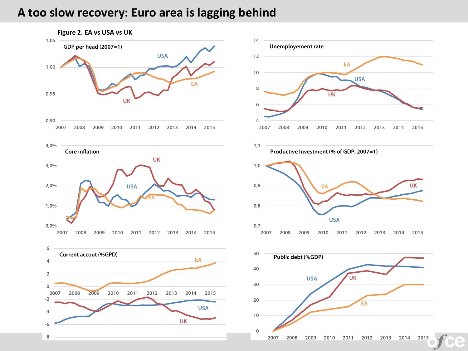### **A too slow recovery: Euro area is lagging behind**

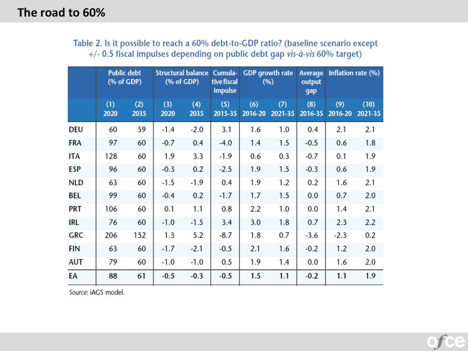| Table 2. Is it possible to reach a 60% debt-to-GDP ratio? (baseline scenario except |  |
|-------------------------------------------------------------------------------------|--|
| +/- 0.5 fiscal impulses depending on public debt gap vis-à-vis 60% target)          |  |

|            | <b>Public debt</b><br>$(% \mathbf{A})$ (% of GDP) |             | <b>Structural balance</b><br>$(% \mathcal{L}_{0}^{\ast} \mathcal{L}_{1})$ (% of GDP) |             | <b>GDP</b> growth rate<br>Cumula-<br>tive fiscal<br>(%)<br><b>impulse</b> |                |                | Inflation rate (%)<br><b>Average</b><br>output<br>gap |                |                 |
|------------|---------------------------------------------------|-------------|--------------------------------------------------------------------------------------|-------------|---------------------------------------------------------------------------|----------------|----------------|-------------------------------------------------------|----------------|-----------------|
|            | (1)<br>2020                                       | (2)<br>2035 | (3)<br>2020                                                                          | (4)<br>2035 | (5)<br>2015-35                                                            | (6)<br>2016-20 | (7)<br>2021-35 | (8)<br>2016-35                                        | (9)<br>2016-20 | (10)<br>2021-35 |
| DEU        | 60                                                | 59          | $-1.4$                                                                               | $-2.0$      | 3.1                                                                       | 1.6            | 1.0            | 0.4                                                   | 2.1            | 2.1             |
| <b>FRA</b> | 97                                                | 60          | $-0.7$                                                                               | 0.4         | $-4.0$                                                                    | 1.4            | 1.5            | $-0.5$                                                | 0.6            | 1.8             |
| ITA        | 128                                               | 60          | 1.9                                                                                  | 3.3         | $-1.9$                                                                    | 0.6            | 0.3            | $-0.7$                                                | 0.1            | 1.9             |
| <b>ESP</b> | 96                                                | 60          | $-0.3$                                                                               | 0.2         | $-2.5$                                                                    | 1.9            | 1.5            | $-0.3$                                                | 0.6            | 1.9             |
| <b>NLD</b> | 63                                                | 60          | $-1.5$                                                                               | $-1.9$      | 0.4                                                                       | 1.9            | 1.2            | 0.2                                                   | 1.6            | 2.1             |
| BEL        | 99                                                | 60          | $-0.4$                                                                               | 0.2         | $-1.7$                                                                    | 1.7            | 1.5            | 0.0                                                   | 0.7            | 2.0             |
| <b>PRT</b> | 106                                               | 60          | 0.1                                                                                  | 1.1         | 0.8                                                                       | 2.2            | 1.0            | 0.0                                                   | 1.4            | 2.1             |
| <b>IRL</b> | 76                                                | 60          | $-1.0$                                                                               | $-1.5$      | 3.4                                                                       | 3.0            | 1.8            | 0.7                                                   | 2.3            | 2.2             |
| <b>GRC</b> | 206                                               | 152         | 1.3                                                                                  | 5.2         | $-8.7$                                                                    | 1.8            | 0.7            | $-3.6$                                                | $-2.3$         | 0.2             |
| <b>FIN</b> | 63                                                | 60          | $-1.7$                                                                               | $-2.1$      | $-0.5$                                                                    | 2.1            | 1.6            | $-0.2$                                                | 1.2            | 2.0             |
| <b>AUT</b> | 79                                                | 60          | $-1.0$                                                                               | $-1.0$      | 0.5                                                                       | 1.9            | 1.4            | 0.0                                                   | 1.6            | 2.0             |
| EA         | 88                                                | 61          | $-0.5$                                                                               | $-0.3$      | $-0.5$                                                                    | 1.5            | 1.1            | $-0.2$                                                | 1.1            | 1.9             |

Source: iAGS model.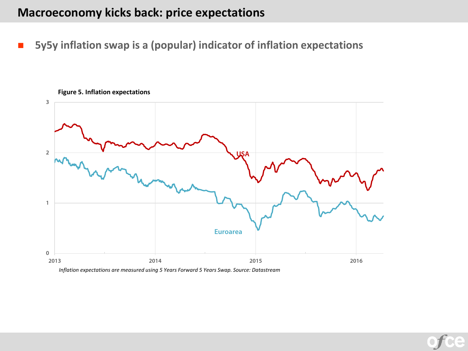### **Macroeconomy kicks back: price expectations**

**5y5y inflation swap is a (popular) indicator of inflation expectations**



**Figure 5. Inflation expectations**

*Inflation expectations are measured using 5 Years Forward 5 Years Swap. Source: Datastream*

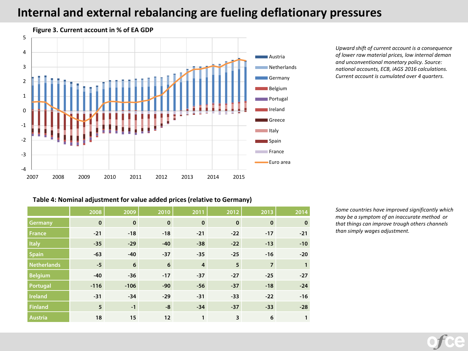### **Internal and external rebalancing are fueling deflationary pressures**



*Upward shift of current account is a consequence of lower raw material prices, low internal deman and unconventional monetary policy. Source: national accounts, ECB, iAGS 2016 calculations. Current account is cumulated over 4 quarters.*

#### **Table 4: Nominal adjustment for value added prices(relative to Germany)**

|                    | 2008        | 2009        | 2010        | 2011           | 2012         | 2013           | 2014         |
|--------------------|-------------|-------------|-------------|----------------|--------------|----------------|--------------|
| Germany            | $\mathbf 0$ | $\mathbf 0$ | $\mathbf 0$ | $\mathbf 0$    | $\mathbf{0}$ | $\mathbf{0}$   | $\bf{0}$     |
| <b>France</b>      | $-21$       | $-18$       | $-18$       | $-21$          | $-22$        | $-17$          | $-21$        |
| <b>Italy</b>       | $-35$       | $-29$       | $-40$       | $-38$          | $-22$        | $-13$          | $-10$        |
| <b>Spain</b>       | $-63$       | $-40$       | $-37$       | $-35$          | $-25$        | $-16$          | $-20$        |
| <b>Netherlands</b> | $-5$        | 6           | 6           | $\overline{4}$ | 5            | $\overline{7}$ | $\mathbf{1}$ |
| <b>Belgium</b>     | $-40$       | $-36$       | $-17$       | $-37$          | $-27$        | $-25$          | $-27$        |
| Portugal           | $-116$      | $-106$      | $-90$       | $-56$          | $-37$        | $-18$          | $-24$        |
| <b>Ireland</b>     | $-31$       | $-34$       | $-29$       | $-31$          | $-33$        | $-22$          | $-16$        |
| <b>Finland</b>     | 5           | $-1$        | $-8$        | $-34$          | $-37$        | $-33$          | $-28$        |
| <b>Austria</b>     | 18          | 15          | 12          | $\mathbf{1}$   | 3            | 6              | 1            |

*Some countries have improved significantly which may be a symptom of an inaccurate method or that things can improve trough others channels than simply wages adjustment.*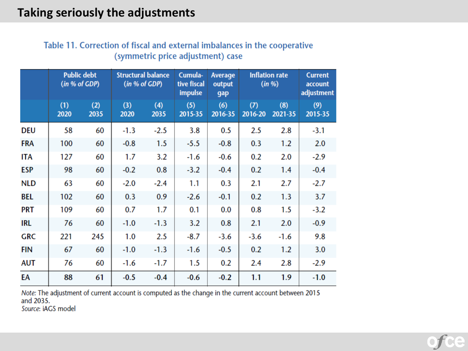|  |                                   |  |  | Table 11. Correction of fiscal and external imbalances in the cooperative |
|--|-----------------------------------|--|--|---------------------------------------------------------------------------|
|  | (symmetric price adjustment) case |  |  |                                                                           |

|            |             | <b>Public debt</b><br>(in % of GDP) |             | <b>Structural balance</b><br>(in % of GDP) | Cumula-<br>tive fiscal<br>impulse | <b>Average</b><br>output<br>gap | <b>Inflation rate</b> | (in  %)        | <b>Current</b><br>account<br>adjustment |
|------------|-------------|-------------------------------------|-------------|--------------------------------------------|-----------------------------------|---------------------------------|-----------------------|----------------|-----------------------------------------|
|            | (1)<br>2020 | (2)<br>2035                         | (3)<br>2020 | (4)<br>2035                                | (5)<br>2015-35                    | (6)<br>2016-35                  | (7)<br>2016-20        | (8)<br>2021-35 | (9)<br>2015-35                          |
| DEU        | 58          | 60                                  | $-1.3$      | $-2.5$                                     | 3.8                               | 0.5                             | 2.5                   | 2.8            | $-3.1$                                  |
| <b>FRA</b> | 100         | 60                                  | $-0.8$      | 1.5                                        | $-5.5$                            | $-0.8$                          | 0.3                   | 1.2            | 2.0                                     |
| <b>ITA</b> | 127         | 60                                  | 1.7         | 3.2                                        | $-1.6$                            | $-0.6$                          | 0.2                   | 2.0            | $-2.9$                                  |
| <b>ESP</b> | 98          | 60                                  | $-0.2$      | 0.8                                        | $-3.2$                            | $-0.4$                          | 0.2                   | 1.4            | $-0.4$                                  |
| <b>NLD</b> | 63          | 60                                  | $-2.0$      | $-2.4$                                     | 1.1                               | 0.3                             | 2.1                   | 2.7            | $-2.7$                                  |
| <b>BEL</b> | 102         | 60                                  | 0.3         | 0.9                                        | $-2.6$                            | $-0.1$                          | 0.2                   | 1.3            | 3.7                                     |
| <b>PRT</b> | 109         | 60                                  | 0.7         | 1.7                                        | 0.1                               | 0.0                             | 0.8                   | 1.5            | $-3.2$                                  |
| <b>IRL</b> | 76          | 60                                  | $-1.0$      | $-1.3$                                     | 3.2                               | 0.8                             | 2.1                   | 2.0            | $-0.9$                                  |
| <b>GRC</b> | 221         | 245                                 | 1.0         | 2.5                                        | $-8.7$                            | $-3.6$                          | $-3.6$                | $-1.6$         | 9.8                                     |
| <b>FIN</b> | 67          | 60                                  | $-1.0$      | $-1.3$                                     | $-1.6$                            | $-0.5$                          | 0.2                   | 1.2            | 3.0                                     |
| <b>AUT</b> | 76          | 60                                  | $-1.6$      | $-1.7$                                     | 1.5                               | 0.2                             | 2.4                   | 2.8            | $-2.9$                                  |
| EA         | 88          | 61                                  | $-0.5$      | $-0.4$                                     | $-0.6$                            | $-0.2$                          | 1.1                   | 1.9            | $-1.0$                                  |

Note: The adjustment of current account is computed as the change in the current account between 2015<br>and 2035. Source: iAGS model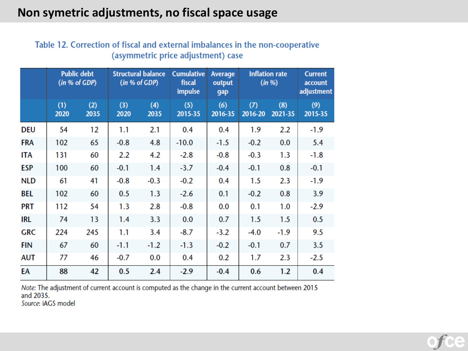### Non symetric adjustments, no fiscal space usage

|            | (in % of GDP) | <b>Public debt</b> |             | <b>Structural balance</b><br>(in % of GDP) | <b>Cumulative</b><br>fiscal<br>impulse | <b>Average</b><br>output<br>gap | <b>Inflation rate</b><br>(in %) |                | <b>Current</b><br>account<br>adjustment |
|------------|---------------|--------------------|-------------|--------------------------------------------|----------------------------------------|---------------------------------|---------------------------------|----------------|-----------------------------------------|
|            | (1)<br>2020   | (2)<br>2035        | (3)<br>2020 | (4)<br>2035                                | (5)<br>2015-35                         | (6)<br>2016-35                  | (7)<br>2016-20                  | (8)<br>2021-35 | (9)<br>2015-35                          |
| DEU        | 54            | 12                 | 1.1         | 2.1                                        | 0.4                                    | 0.4                             | 1.9                             | 2.2            | $-1.9$                                  |
| <b>FRA</b> | 102           | 65                 | $-0.8$      | 4.8                                        | $-10.0$                                | $-1.5$                          | $-0.2$                          | 0.0            | 5.4                                     |
| <b>ITA</b> | 131           | 60                 | 2.2         | 4.2                                        | $-2.8$                                 | $-0.8$                          | $-0.3$                          | 1.3            | $-1.8$                                  |
| <b>ESP</b> | 100           | 60                 | $-0.1$      | 1.4                                        | $-3.7$                                 | $-0.4$                          | $-0.1$                          | 0.8            | $-0.1$                                  |
| <b>NLD</b> | 61            | 41                 | $-0.8$      | $-0.3$                                     | $-0.2$                                 | 0.4                             | 1.5                             | 2.3            | $-1.9$                                  |
| BEL        | 102           | 60                 | 0.5         | 1.3                                        | $-2.6$                                 | 0.1                             | $-0.2$                          | 0.8            | 3.9                                     |
| <b>PRT</b> | 112           | 54                 | 1.3         | 2.8                                        | $-0.8$                                 | 0.0                             | 0.1                             | 1.0            | $-2.9$                                  |
| <b>IRL</b> | 74            | 13                 | 1.4         | 3.3                                        | 0.0                                    | 0.7                             | 1.5                             | 1.5            | 0.5                                     |
| <b>GRC</b> | 224           | 245                | 1.1         | 3.4                                        | $-8.7$                                 | $-3.2$                          | $-4.0$                          | $-1.9$         | 9.5                                     |
| <b>FIN</b> | 67            | 60                 | $-1.1$      | $-1.2$                                     | $-1.3$                                 | $-0.2$                          | $-0.1$                          | 0.7            | 3.5                                     |
| AUT        | 77            | 46                 | $-0.7$      | 0.0                                        | 0.4                                    | 0.2                             | 1.7                             | 2.3            | $-2.5$                                  |
| EA         | 88            | 42                 | 0.5         | 2.4                                        | $-2.9$                                 | $-0.4$                          | 0.6                             | 1.2            | 0.4                                     |

### Table 12. Correction of fiscal and external imbalances in the non-cooperative (asymmetric price adjustment) case

Note: The adjustment of current account is computed as the change in the current account between 2015 and 2035.

Source: iAGS model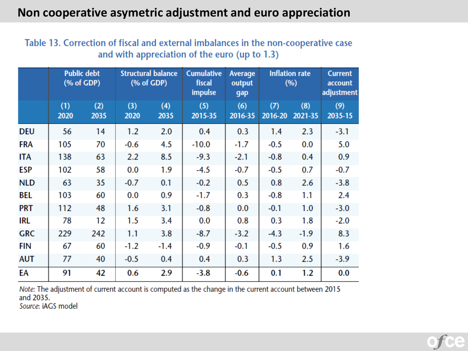# Non cooperative asymetric adjustment and euro appreciation

### Table 13. Correction of fiscal and external imbalances in the non-cooperative case and with appreciation of the euro (up to 1.3)

|            |             | <b>Public debt</b><br>$(% \mathbf{A})$ (% of GDP) |             | <b>Structural balance</b><br>$(% \mathbf{A})$ (% of GDP) | <b>Cumulative</b><br>fiscal<br>impulse | <b>Average</b><br>output<br>gap | <b>Inflation rate</b><br>(9) |                | <b>Current</b><br>account<br>adjustment |
|------------|-------------|---------------------------------------------------|-------------|----------------------------------------------------------|----------------------------------------|---------------------------------|------------------------------|----------------|-----------------------------------------|
|            | (1)<br>2020 | (2)<br>2035                                       | (3)<br>2020 | (4)<br>2035                                              | (5)<br>2015-35                         | (6)<br>2016-35                  | (7)<br>2016-20               | (8)<br>2021-35 | (9)<br>2035-15                          |
| <b>DEU</b> | 56          | 14                                                | 1.2         | 2.0                                                      | 0.4                                    | 0.3                             | 1.4                          | 2.3            | $-3.1$                                  |
| <b>FRA</b> | 105         | 70                                                | $-0.6$      | 4.5                                                      | $-10.0$                                | $-1.7$                          | $-0.5$                       | 0.0            | 5.0                                     |
| <b>ITA</b> | 138         | 63                                                | 2.2         | 8.5                                                      | $-9.3$                                 | $-2.1$                          | $-0.8$                       | 0.4            | 0.9                                     |
| ESP        | 102         | 58                                                | 0.0         | 1.9                                                      | $-4.5$                                 | $-0.7$                          | $-0.5$                       | 0.7            | $-0.7$                                  |
| <b>NLD</b> | 63          | 35                                                | $-0.7$      | 0.1                                                      | $-0.2$                                 | 0.5                             | 0.8                          | 2.6            | $-3.8$                                  |
| BEL        | 103         | 60                                                | 0.0         | 0.9                                                      | $-1.7$                                 | 0.3                             | $-0.8$                       | 1.1            | 2.4                                     |
| <b>PRT</b> | 112         | 48                                                | 1.6         | 3.1                                                      | $-0.8$                                 | 0.0                             | $-0.1$                       | 1.0            | $-3.0$                                  |
| IRL        | 78          | 12                                                | 1.5         | 3.4                                                      | 0.0                                    | 0.8                             | 0.3                          | 1.8            | $-2.0$                                  |
| <b>GRC</b> | 229         | 242                                               | 1.1         | 3.8                                                      | $-8.7$                                 | $-3.2$                          | $-4.3$                       | $-1.9$         | 8.3                                     |
| FIN        | 67          | 60                                                | $-1.2$      | $-1.4$                                                   | $-0.9$                                 | $-0.1$                          | $-0.5$                       | 0.9            | 1.6                                     |
| <b>AUT</b> | 77          | 40                                                | $-0.5$      | 0.4                                                      | 0.4                                    | 0.3                             | 1.3                          | 2.5            | $-3.9$                                  |
| ЕA         | 91          | 42                                                | 0.6         | 2.9                                                      | $-3.8$                                 | $-0.6$                          | 0.1                          | 1.2            | 0.0                                     |

Note: The adjustment of current account is computed as the change in the current account between 2015 and 2035.

Source: iAGS model